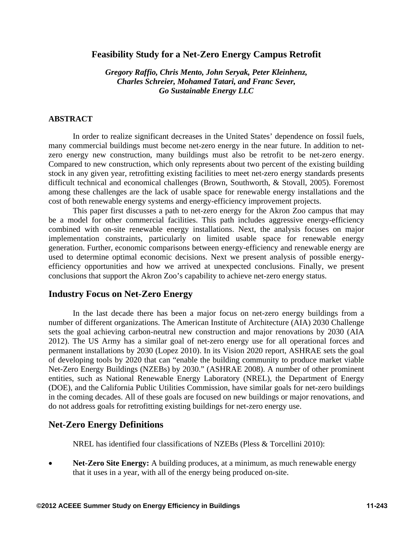# **Feasibility Study for a Net-Zero Energy Campus Retrofit**

*Gregory Raffio, Chris Mento, John Seryak, Peter Kleinhenz, Charles Schreier, Mohamed Tatari, and Franc Sever, Go Sustainable Energy LLC* 

## **ABSTRACT**

In order to realize significant decreases in the United States' dependence on fossil fuels, many commercial buildings must become net-zero energy in the near future. In addition to netzero energy new construction, many buildings must also be retrofit to be net-zero energy. Compared to new construction, which only represents about two percent of the existing building stock in any given year, retrofitting existing facilities to meet net-zero energy standards presents difficult technical and economical challenges (Brown, Southworth, & Stovall, 2005). Foremost among these challenges are the lack of usable space for renewable energy installations and the cost of both renewable energy systems and energy-efficiency improvement projects.

This paper first discusses a path to net-zero energy for the Akron Zoo campus that may be a model for other commercial facilities. This path includes aggressive energy-efficiency combined with on-site renewable energy installations. Next, the analysis focuses on major implementation constraints, particularly on limited usable space for renewable energy generation. Further, economic comparisons between energy-efficiency and renewable energy are used to determine optimal economic decisions. Next we present analysis of possible energyefficiency opportunities and how we arrived at unexpected conclusions. Finally, we present conclusions that support the Akron Zoo's capability to achieve net-zero energy status.

## **Industry Focus on Net-Zero Energy**

In the last decade there has been a major focus on net-zero energy buildings from a number of different organizations. The American Institute of Architecture (AIA) 2030 Challenge sets the goal achieving carbon-neutral new construction and major renovations by 2030 (AIA 2012). The US Army has a similar goal of net-zero energy use for all operational forces and permanent installations by 2030 (Lopez 2010). In its Vision 2020 report, ASHRAE sets the goal of developing tools by 2020 that can "enable the building community to produce market viable Net-Zero Energy Buildings (NZEBs) by 2030." (ASHRAE 2008). A number of other prominent entities, such as National Renewable Energy Laboratory (NREL), the Department of Energy (DOE), and the California Public Utilities Commission, have similar goals for net-zero buildings in the coming decades. All of these goals are focused on new buildings or major renovations, and do not address goals for retrofitting existing buildings for net-zero energy use.

### **Net-Zero Energy Definitions**

NREL has identified four classifications of NZEBs (Pless & Torcellini 2010):

 **Net-Zero Site Energy:** A building produces, at a minimum, as much renewable energy that it uses in a year, with all of the energy being produced on-site.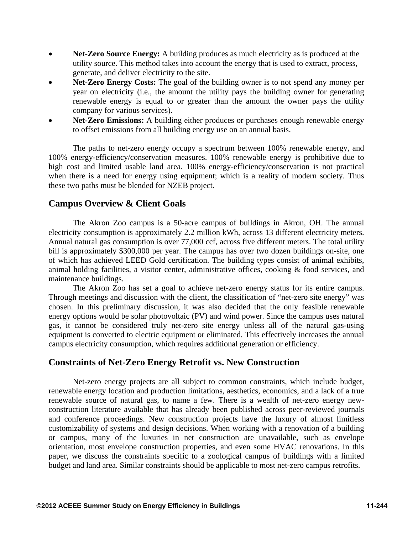- **Net-Zero Source Energy:** A building produces as much electricity as is produced at the utility source. This method takes into account the energy that is used to extract, process, generate, and deliver electricity to the site.
- **Net-Zero Energy Costs:** The goal of the building owner is to not spend any money per year on electricity (i.e., the amount the utility pays the building owner for generating renewable energy is equal to or greater than the amount the owner pays the utility company for various services).
- **Net-Zero Emissions:** A building either produces or purchases enough renewable energy to offset emissions from all building energy use on an annual basis.

The paths to net-zero energy occupy a spectrum between 100% renewable energy, and 100% energy-efficiency/conservation measures. 100% renewable energy is prohibitive due to high cost and limited usable land area. 100% energy-efficiency/conservation is not practical when there is a need for energy using equipment; which is a reality of modern society. Thus these two paths must be blended for NZEB project.

## **Campus Overview & Client Goals**

The Akron Zoo campus is a 50-acre campus of buildings in Akron, OH. The annual electricity consumption is approximately 2.2 million kWh, across 13 different electricity meters. Annual natural gas consumption is over 77,000 ccf, across five different meters. The total utility bill is approximately \$300,000 per year. The campus has over two dozen buildings on-site, one of which has achieved LEED Gold certification. The building types consist of animal exhibits, animal holding facilities, a visitor center, administrative offices, cooking & food services, and maintenance buildings.

The Akron Zoo has set a goal to achieve net-zero energy status for its entire campus. Through meetings and discussion with the client, the classification of "net-zero site energy" was chosen. In this preliminary discussion, it was also decided that the only feasible renewable energy options would be solar photovoltaic (PV) and wind power. Since the campus uses natural gas, it cannot be considered truly net-zero site energy unless all of the natural gas-using equipment is converted to electric equipment or eliminated. This effectively increases the annual campus electricity consumption, which requires additional generation or efficiency.

# **Constraints of Net-Zero Energy Retrofit vs. New Construction**

Net-zero energy projects are all subject to common constraints, which include budget, renewable energy location and production limitations, aesthetics, economics, and a lack of a true renewable source of natural gas, to name a few. There is a wealth of net-zero energy newconstruction literature available that has already been published across peer-reviewed journals and conference proceedings. New construction projects have the luxury of almost limitless customizability of systems and design decisions. When working with a renovation of a building or campus, many of the luxuries in net construction are unavailable, such as envelope orientation, most envelope construction properties, and even some HVAC renovations. In this paper, we discuss the constraints specific to a zoological campus of buildings with a limited budget and land area. Similar constraints should be applicable to most net-zero campus retrofits.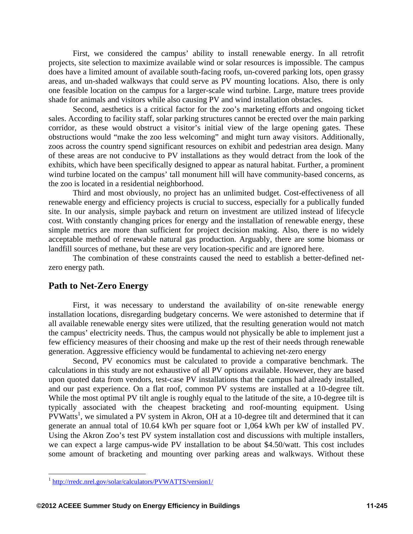First, we considered the campus' ability to install renewable energy. In all retrofit projects, site selection to maximize available wind or solar resources is impossible. The campus does have a limited amount of available south-facing roofs, un-covered parking lots, open grassy areas, and un-shaded walkways that could serve as PV mounting locations. Also, there is only one feasible location on the campus for a larger-scale wind turbine. Large, mature trees provide shade for animals and visitors while also causing PV and wind installation obstacles.

Second, aesthetics is a critical factor for the zoo's marketing efforts and ongoing ticket sales. According to facility staff, solar parking structures cannot be erected over the main parking corridor, as these would obstruct a visitor's initial view of the large opening gates. These obstructions would "make the zoo less welcoming" and might turn away visitors. Additionally, zoos across the country spend significant resources on exhibit and pedestrian area design. Many of these areas are not conducive to PV installations as they would detract from the look of the exhibits, which have been specifically designed to appear as natural habitat. Further, a prominent wind turbine located on the campus' tall monument hill will have community-based concerns, as the zoo is located in a residential neighborhood.

Third and most obviously, no project has an unlimited budget. Cost-effectiveness of all renewable energy and efficiency projects is crucial to success, especially for a publically funded site. In our analysis, simple payback and return on investment are utilized instead of lifecycle cost. With constantly changing prices for energy and the installation of renewable energy, these simple metrics are more than sufficient for project decision making. Also, there is no widely acceptable method of renewable natural gas production. Arguably, there are some biomass or landfill sources of methane, but these are very location-specific and are ignored here.

 The combination of these constraints caused the need to establish a better-defined netzero energy path.

## **Path to Net-Zero Energy**

First, it was necessary to understand the availability of on-site renewable energy installation locations, disregarding budgetary concerns. We were astonished to determine that if all available renewable energy sites were utilized, that the resulting generation would not match the campus' electricity needs. Thus, the campus would not physically be able to implement just a few efficiency measures of their choosing and make up the rest of their needs through renewable generation. Aggressive efficiency would be fundamental to achieving net-zero energy

Second, PV economics must be calculated to provide a comparative benchmark. The calculations in this study are not exhaustive of all PV options available. However, they are based upon quoted data from vendors, test-case PV installations that the campus had already installed, and our past experience. On a flat roof, common PV systems are installed at a 10-degree tilt. While the most optimal PV tilt angle is roughly equal to the latitude of the site, a 10-degree tilt is typically associated with the cheapest bracketing and roof-mounting equipment. Using PVWatts<sup>1</sup>, we simulated a PV system in Akron, OH at a 10-degree tilt and determined that it can generate an annual total of 10.64 kWh per square foot or 1,064 kWh per kW of installed PV. Using the Akron Zoo's test PV system installation cost and discussions with multiple installers, we can expect a large campus-wide PV installation to be about \$4.50/watt. This cost includes some amount of bracketing and mounting over parking areas and walkways. Without these

 $\overline{a}$ 

<sup>1</sup> http://rredc.nrel.gov/solar/calculators/PVWATTS/version1/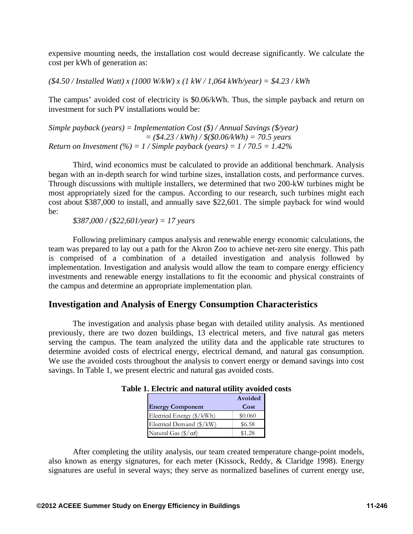expensive mounting needs, the installation cost would decrease significantly. We calculate the cost per kWh of generation as:

*(\$4.50 / Installed Watt) x (1000 W/kW) x (1 kW / 1,064 kWh/year) = \$4.23 / kWh*

The campus' avoided cost of electricity is \$0.06/kWh. Thus, the simple payback and return on investment for such PV installations would be:

*Simple payback (years) = Implementation Cost (\$) / Annual Savings (\$/year) = (\$4.23 / kWh) / \$(\$0.06/kWh) = 70.5 years Return on Investment*  $(\%) = 1 /$  *Simple payback* (years) =  $1 / 70.5 = 1.42\%$ 

Third, wind economics must be calculated to provide an additional benchmark. Analysis began with an in-depth search for wind turbine sizes, installation costs, and performance curves. Through discussions with multiple installers, we determined that two 200-kW turbines might be most appropriately sized for the campus. According to our research, such turbines might each cost about \$387,000 to install, and annually save \$22,601. The simple payback for wind would be:

*\$387,000 / (\$22,601/year) = 17 years* 

Following preliminary campus analysis and renewable energy economic calculations, the team was prepared to lay out a path for the Akron Zoo to achieve net-zero site energy. This path is comprised of a combination of a detailed investigation and analysis followed by implementation. Investigation and analysis would allow the team to compare energy efficiency investments and renewable energy installations to fit the economic and physical constraints of the campus and determine an appropriate implementation plan.

# **Investigation and Analysis of Energy Consumption Characteristics**

The investigation and analysis phase began with detailed utility analysis. As mentioned previously, there are two dozen buildings, 13 electrical meters, and five natural gas meters serving the campus. The team analyzed the utility data and the applicable rate structures to determine avoided costs of electrical energy, electrical demand, and natural gas consumption. We use the avoided costs throughout the analysis to convert energy or demand savings into cost savings. In Table 1, we present electric and natural gas avoided costs.

|                                  | Avoided |
|----------------------------------|---------|
| <b>Energy Component</b>          | Cost    |
| Electrical Energy (\$/kWh)       | \$0.060 |
| Electrical Demand (\$/kW)        | \$6.58  |
| Natural Gas $(\frac{5}{\alpha})$ | \$1.28  |

| Table 1. Electric and natural utility avoided costs |
|-----------------------------------------------------|
|-----------------------------------------------------|

After completing the utility analysis, our team created temperature change-point models, also known as energy signatures, for each meter (Kissock, Reddy, & Claridge 1998). Energy signatures are useful in several ways; they serve as normalized baselines of current energy use,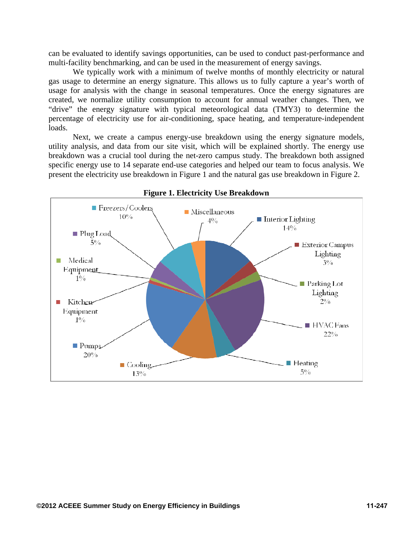can be evaluated to identify savings opportunities, can be used to conduct past-performance and multi-facility benchmarking, and can be used in the measurement of energy savings.

We typically work with a minimum of twelve months of monthly electricity or natural gas usage to determine an energy signature. This allows us to fully capture a year's worth of usage for analysis with the change in seasonal temperatures. Once the energy signatures are created, we normalize utility consumption to account for annual weather changes. Then, we "drive" the energy signature with typical meteorological data (TMY3) to determine the percentage of electricity use for air-conditioning, space heating, and temperature-independent loads.

Next, we create a campus energy-use breakdown using the energy signature models, utility analysis, and data from our site visit, which will be explained shortly. The energy use breakdown was a crucial tool during the net-zero campus study. The breakdown both assigned specific energy use to 14 separate end-use categories and helped our team to focus analysis. We present the electricity use breakdown in Figure 1 and the natural gas use breakdown in Figure 2.



#### **Figure 1. Electricity Use Breakdown**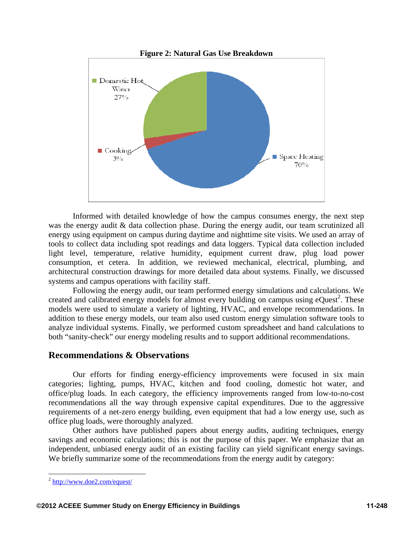

Informed with detailed knowledge of how the campus consumes energy, the next step was the energy audit & data collection phase. During the energy audit, our team scrutinized all energy using equipment on campus during daytime and nighttime site visits. We used an array of tools to collect data including spot readings and data loggers. Typical data collection included light level, temperature, relative humidity, equipment current draw, plug load power consumption, et cetera. In addition, we reviewed mechanical, electrical, plumbing, and architectural construction drawings for more detailed data about systems. Finally, we discussed systems and campus operations with facility staff.

Following the energy audit, our team performed energy simulations and calculations. We created and calibrated energy models for almost every building on campus using  $eQuest^2$ . These models were used to simulate a variety of lighting, HVAC, and envelope recommendations. In addition to these energy models, our team also used custom energy simulation software tools to analyze individual systems. Finally, we performed custom spreadsheet and hand calculations to both "sanity-check" our energy modeling results and to support additional recommendations.

# **Recommendations & Observations**

Our efforts for finding energy-efficiency improvements were focused in six main categories; lighting, pumps, HVAC, kitchen and food cooling, domestic hot water, and office/plug loads. In each category, the efficiency improvements ranged from low-to-no-cost recommendations all the way through expensive capital expenditures. Due to the aggressive requirements of a net-zero energy building, even equipment that had a low energy use, such as office plug loads, were thoroughly analyzed.

Other authors have published papers about energy audits, auditing techniques, energy savings and economic calculations; this is not the purpose of this paper. We emphasize that an independent, unbiased energy audit of an existing facility can yield significant energy savings. We briefly summarize some of the recommendations from the energy audit by category:

 $\overline{a}$ 

<sup>2</sup> http://www.doe2.com/equest/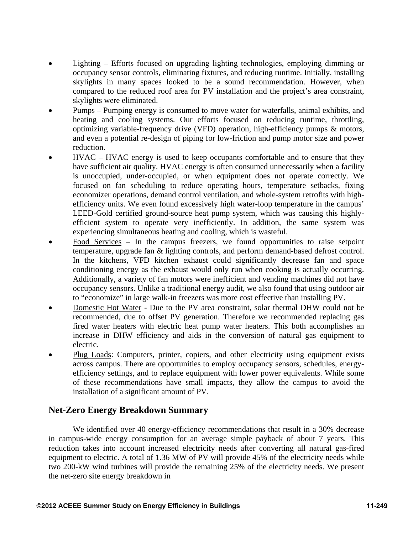- Lighting Efforts focused on upgrading lighting technologies, employing dimming or occupancy sensor controls, eliminating fixtures, and reducing runtime. Initially, installing skylights in many spaces looked to be a sound recommendation. However, when compared to the reduced roof area for PV installation and the project's area constraint, skylights were eliminated.
- Pumps Pumping energy is consumed to move water for waterfalls, animal exhibits, and heating and cooling systems. Our efforts focused on reducing runtime, throttling, optimizing variable-frequency drive (VFD) operation, high-efficiency pumps & motors, and even a potential re-design of piping for low-friction and pump motor size and power reduction.
- HVAC HVAC energy is used to keep occupants comfortable and to ensure that they have sufficient air quality. HVAC energy is often consumed unnecessarily when a facility is unoccupied, under-occupied, or when equipment does not operate correctly. We focused on fan scheduling to reduce operating hours, temperature setbacks, fixing economizer operations, demand control ventilation, and whole-system retrofits with highefficiency units. We even found excessively high water-loop temperature in the campus' LEED-Gold certified ground-source heat pump system, which was causing this highlyefficient system to operate very inefficiently. In addition, the same system was experiencing simultaneous heating and cooling, which is wasteful.
- Food Services In the campus freezers, we found opportunities to raise setpoint temperature, upgrade fan & lighting controls, and perform demand-based defrost control. In the kitchens, VFD kitchen exhaust could significantly decrease fan and space conditioning energy as the exhaust would only run when cooking is actually occurring. Additionally, a variety of fan motors were inefficient and vending machines did not have occupancy sensors. Unlike a traditional energy audit, we also found that using outdoor air to "economize" in large walk-in freezers was more cost effective than installing PV.
- Domestic Hot Water Due to the PV area constraint, solar thermal DHW could not be recommended, due to offset PV generation. Therefore we recommended replacing gas fired water heaters with electric heat pump water heaters. This both accomplishes an increase in DHW efficiency and aids in the conversion of natural gas equipment to electric.
- Plug Loads: Computers, printer, copiers, and other electricity using equipment exists across campus. There are opportunities to employ occupancy sensors, schedules, energyefficiency settings, and to replace equipment with lower power equivalents. While some of these recommendations have small impacts, they allow the campus to avoid the installation of a significant amount of PV.

# **Net-Zero Energy Breakdown Summary**

We identified over 40 energy-efficiency recommendations that result in a 30% decrease in campus-wide energy consumption for an average simple payback of about 7 years. This reduction takes into account increased electricity needs after converting all natural gas-fired equipment to electric. A total of 1.36 MW of PV will provide 45% of the electricity needs while two 200-kW wind turbines will provide the remaining 25% of the electricity needs. We present the net-zero site energy breakdown in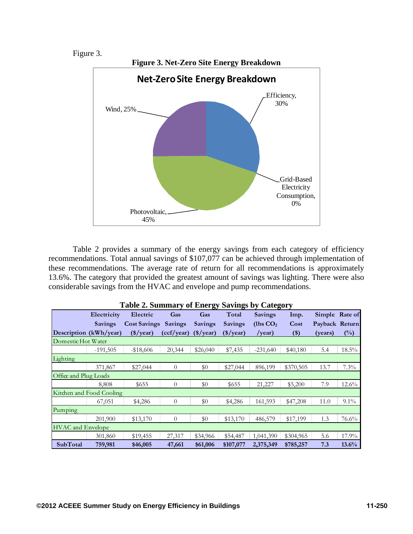### Figure 3.



Table 2 provides a summary of the energy savings from each category of efficiency recommendations. Total annual savings of \$107,077 can be achieved through implementation of these recommendations. The average rate of return for all recommendations is approximately 13.6%. The category that provided the greatest amount of savings was lighting. There were also considerable savings from the HVAC and envelope and pump recommendations.

|                          | Electricity    | Electric            | Gas            | ~<br>Gas       | Ō<br>Total     | $\overline{\phantom{a}}$<br><b>Savings</b> | Imp.      | Simple Rate of |          |
|--------------------------|----------------|---------------------|----------------|----------------|----------------|--------------------------------------------|-----------|----------------|----------|
|                          | <b>Savings</b> | <b>Cost Savings</b> | Savings        | <b>Savings</b> | <b>Savings</b> | (lbs CO <sub>2</sub> )                     | Cost      | Payback Return |          |
| Description (kWh/year)   |                | $(*/year)$          | (ccf/year)     | $(*/year)$     | $(*/year)$     | /year)                                     | $($ \$)   | (years)        | $(\%)$   |
| Domestic Hot Water       |                |                     |                |                |                |                                            |           |                |          |
|                          | $-191,505$     | $-18,606$           | 20,344         | \$26,040       | \$7,435        | $-231,640$                                 | \$40,180  | 5.4            | $18.5\%$ |
| Lighting                 |                |                     |                |                |                |                                            |           |                |          |
|                          | 371,867        | \$27,044            | $\theta$       | \$0            | \$27,044       | 896,199                                    | \$370,505 | 13.7           | 7.3%     |
| Office and Plug Loads    |                |                     |                |                |                |                                            |           |                |          |
|                          | 8,808          | \$655               | $\Omega$       | \$0            | \$655          | 21,227                                     | \$5,200   | 7.9            | $12.6\%$ |
| Kitchen and Food Cooling |                |                     |                |                |                |                                            |           |                |          |
|                          | 67,051         | \$4,286             | $\overline{0}$ | \$0            | \$4,286        | 161,593                                    | \$47,208  | 11.0           | $9.1\%$  |
| Pumping                  |                |                     |                |                |                |                                            |           |                |          |
|                          | 201,900        | \$13,170            | $\theta$       | \$0            | \$13,170       | 486,579                                    | \$17,199  | 1.3            | 76.6%    |
| <b>HVAC</b> and Envelope |                |                     |                |                |                |                                            |           |                |          |
|                          | 301,860        | \$19,455            | 27,317         | \$34,966       | \$54,487       | 1,041,390                                  | \$304,965 | 5.6            | $17.9\%$ |
| <b>SubTotal</b>          | 759,981        | \$46,005            | 47,661         | \$61,006       | \$107,077      | 2,375,349                                  | \$785,257 | 7.3            | 13.6%    |

|  | Table 2. Summary of Energy Savings by Category |  |  |
|--|------------------------------------------------|--|--|
|  |                                                |  |  |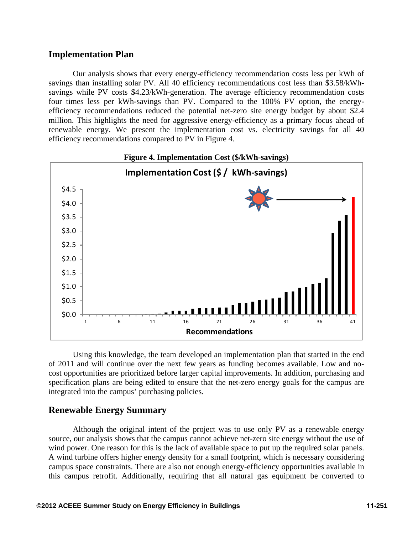## **Implementation Plan**

Our analysis shows that every energy-efficiency recommendation costs less per kWh of savings than installing solar PV. All 40 efficiency recommendations cost less than \$3.58/kWhsavings while PV costs \$4.23/kWh-generation. The average efficiency recommendation costs four times less per kWh-savings than PV. Compared to the 100% PV option, the energyefficiency recommendations reduced the potential net-zero site energy budget by about \$2.4 million. This highlights the need for aggressive energy-efficiency as a primary focus ahead of renewable energy. We present the implementation cost vs. electricity savings for all 40 efficiency recommendations compared to PV in Figure 4.



Using this knowledge, the team developed an implementation plan that started in the end of 2011 and will continue over the next few years as funding becomes available. Low and nocost opportunities are prioritized before larger capital improvements. In addition, purchasing and specification plans are being edited to ensure that the net-zero energy goals for the campus are integrated into the campus' purchasing policies.

# **Renewable Energy Summary**

Although the original intent of the project was to use only PV as a renewable energy source, our analysis shows that the campus cannot achieve net-zero site energy without the use of wind power. One reason for this is the lack of available space to put up the required solar panels. A wind turbine offers higher energy density for a small footprint, which is necessary considering campus space constraints. There are also not enough energy-efficiency opportunities available in this campus retrofit. Additionally, requiring that all natural gas equipment be converted to